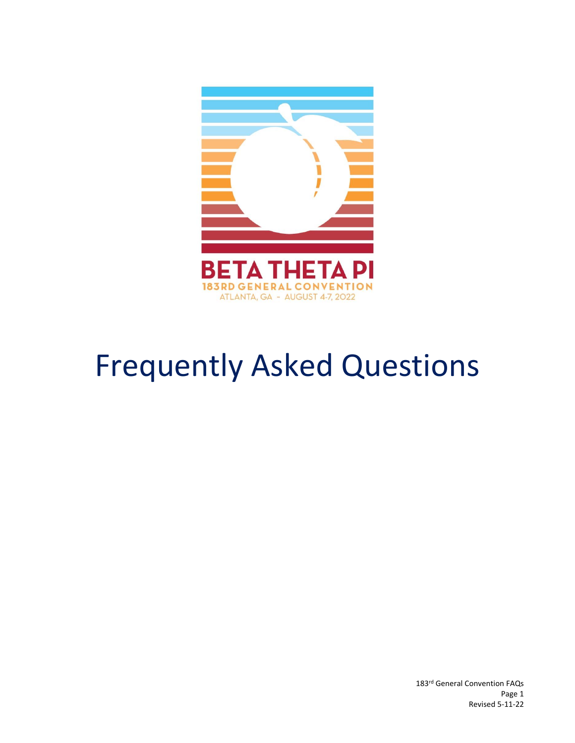

# Frequently Asked Questions

183rd General Convention FAQs Page 1 Revised 5-11-22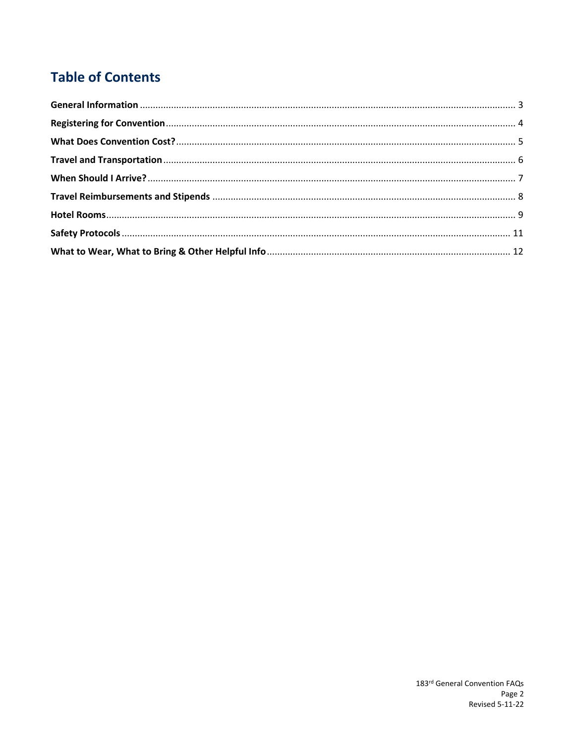# **Table of Contents**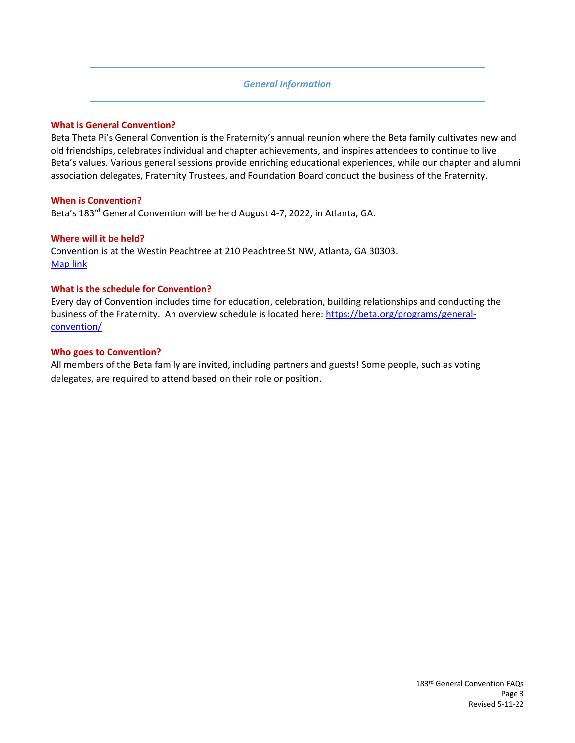# *General Information*

## <span id="page-2-0"></span>**What is General Convention?**

Beta Theta Pi's General Convention is the Fraternity's annual reunion where the Beta family cultivates new and old friendships, celebrates individual and chapter achievements, and inspires attendees to continue to live Beta's values. Various general sessions provide enriching educational experiences, while our chapter and alumni association delegates, Fraternity Trustees, and Foundation Board conduct the business of the Fraternity.

### **When is Convention?**

Beta's 183<sup>rd</sup> General Convention will be held August 4-7, 2022, in Atlanta, GA.

#### **Where will it be held?**

Convention is at the Westin Peachtree at 210 Peachtree St NW, Atlanta, GA 30303. [Map link](https://www.google.com/maps/place/The+Westin+Peachtree+Plaza,+Atlanta/@33.7596563,-84.3911357,17z/data=!3m1!4b1!4m8!3m7!1s0x88f50478874ca9f3:0x1d6489204fb26054!5m2!4m1!1i2!8m2!3d33.7596519!4d-84.388947)

### **What is the schedule for Convention?**

Every day of Convention includes time for education, celebration, building relationships and conducting the business of the Fraternity. An overview schedule is located here: [https://beta.org/programs/general](https://beta.org/programs/general-convention/)[convention/](https://beta.org/programs/general-convention/)

### **Who goes to Convention?**

All members of the Beta family are invited, including partners and guests! Some people, such as voting delegates, are required to attend based on their role or position.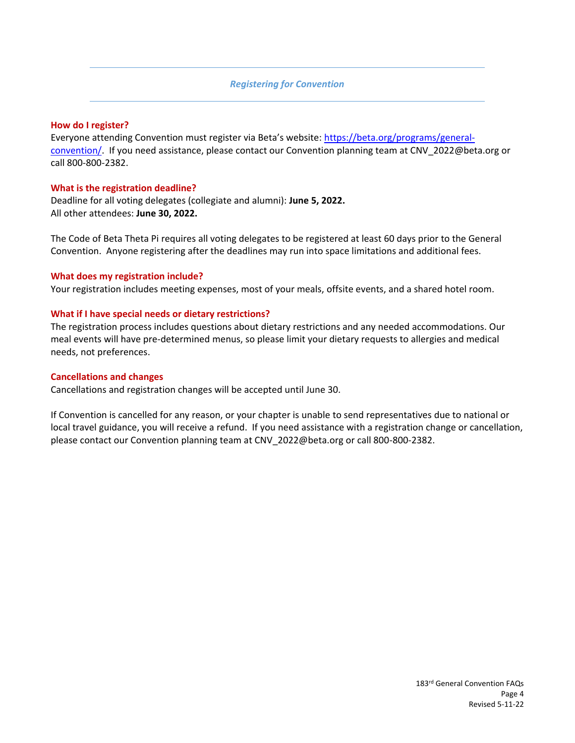# *Registering for Convention*

#### <span id="page-3-0"></span>**How do I register?**

Everyone attending Convention must register via Beta's website: [https://beta.org/programs/general](https://beta.org/programs/general-convention/)[convention/.](https://beta.org/programs/general-convention/) If you need assistance, please contact our Convention planning team at CNV\_2022@beta.org or call 800-800-2382.

# **What is the registration deadline?**

Deadline for all voting delegates (collegiate and alumni): **June 5, 2022.** All other attendees: **June 30, 2022.**

The Code of Beta Theta Pi requires all voting delegates to be registered at least 60 days prior to the General Convention. Anyone registering after the deadlines may run into space limitations and additional fees.

### **What does my registration include?**

Your registration includes meeting expenses, most of your meals, offsite events, and a shared hotel room.

### **What if I have special needs or dietary restrictions?**

The registration process includes questions about dietary restrictions and any needed accommodations. Our meal events will have pre-determined menus, so please limit your dietary requests to allergies and medical needs, not preferences.

# **Cancellations and changes**

Cancellations and registration changes will be accepted until June 30.

If Convention is cancelled for any reason, or your chapter is unable to send representatives due to national or local travel guidance, you will receive a refund. If you need assistance with a registration change or cancellation, please contact our Convention planning team at CNV\_2022@beta.org or call 800-800-2382.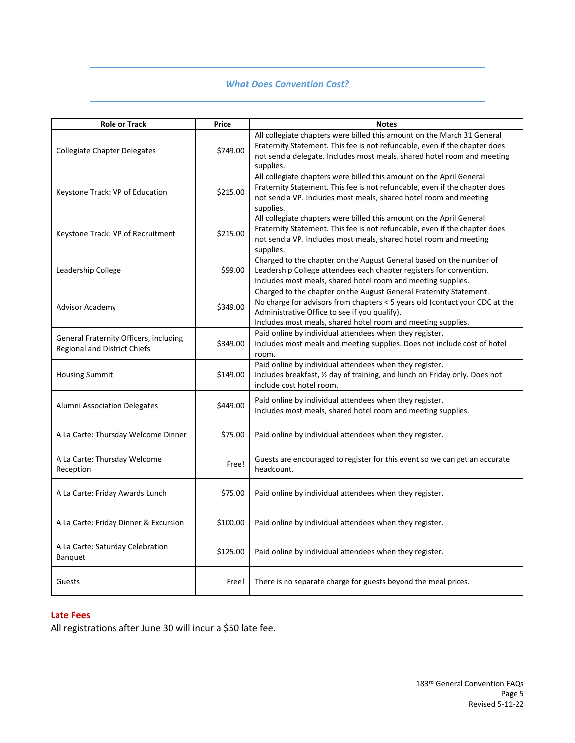# *What Does Convention Cost?*

<span id="page-4-0"></span>

| <b>Role or Track</b>                                                          | Price    | <b>Notes</b>                                                                                                                                                                                                                                                       |
|-------------------------------------------------------------------------------|----------|--------------------------------------------------------------------------------------------------------------------------------------------------------------------------------------------------------------------------------------------------------------------|
| <b>Collegiate Chapter Delegates</b>                                           | \$749.00 | All collegiate chapters were billed this amount on the March 31 General<br>Fraternity Statement. This fee is not refundable, even if the chapter does<br>not send a delegate. Includes most meals, shared hotel room and meeting<br>supplies.                      |
| Keystone Track: VP of Education                                               | \$215.00 | All collegiate chapters were billed this amount on the April General<br>Fraternity Statement. This fee is not refundable, even if the chapter does<br>not send a VP. Includes most meals, shared hotel room and meeting<br>supplies.                               |
| Keystone Track: VP of Recruitment                                             | \$215.00 | All collegiate chapters were billed this amount on the April General<br>Fraternity Statement. This fee is not refundable, even if the chapter does<br>not send a VP. Includes most meals, shared hotel room and meeting<br>supplies.                               |
| Leadership College                                                            | \$99.00  | Charged to the chapter on the August General based on the number of<br>Leadership College attendees each chapter registers for convention.<br>Includes most meals, shared hotel room and meeting supplies.                                                         |
| Advisor Academy                                                               | \$349.00 | Charged to the chapter on the August General Fraternity Statement.<br>No charge for advisors from chapters < 5 years old (contact your CDC at the<br>Administrative Office to see if you qualify).<br>Includes most meals, shared hotel room and meeting supplies. |
| General Fraternity Officers, including<br><b>Regional and District Chiefs</b> | \$349.00 | Paid online by individual attendees when they register.<br>Includes most meals and meeting supplies. Does not include cost of hotel<br>room.                                                                                                                       |
| <b>Housing Summit</b>                                                         | \$149.00 | Paid online by individual attendees when they register.<br>Includes breakfast, 1/2 day of training, and lunch on Friday only. Does not<br>include cost hotel room.                                                                                                 |
| Alumni Association Delegates                                                  | \$449.00 | Paid online by individual attendees when they register.<br>Includes most meals, shared hotel room and meeting supplies.                                                                                                                                            |
| A La Carte: Thursday Welcome Dinner                                           | \$75.00  | Paid online by individual attendees when they register.                                                                                                                                                                                                            |
| A La Carte: Thursday Welcome<br>Reception                                     | Free!    | Guests are encouraged to register for this event so we can get an accurate<br>headcount.                                                                                                                                                                           |
| A La Carte: Friday Awards Lunch                                               | \$75.00  | Paid online by individual attendees when they register.                                                                                                                                                                                                            |
| A La Carte: Friday Dinner & Excursion                                         | \$100.00 | Paid online by individual attendees when they register.                                                                                                                                                                                                            |
| A La Carte: Saturday Celebration<br><b>Banquet</b>                            | \$125.00 | Paid online by individual attendees when they register.                                                                                                                                                                                                            |
| Guests                                                                        | Free!    | There is no separate charge for guests beyond the meal prices.                                                                                                                                                                                                     |

# **Late Fees**

All registrations after June 30 will incur a \$50 late fee.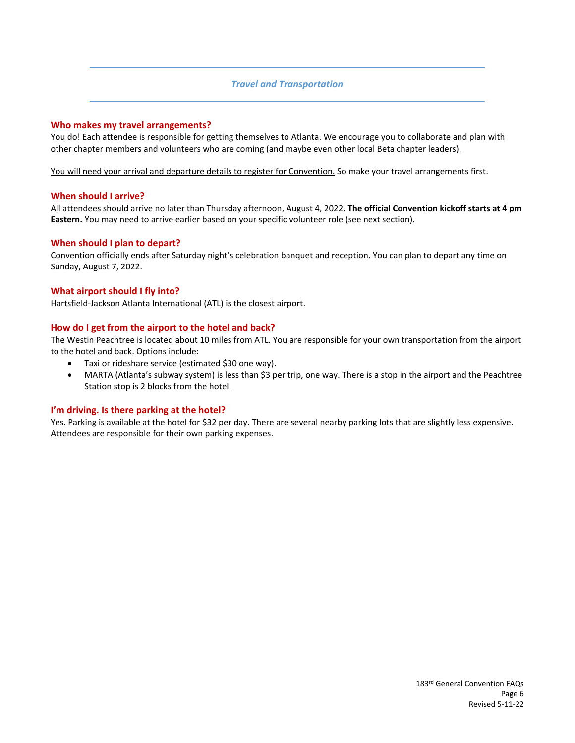### *Travel and Transportation*

#### <span id="page-5-0"></span>**Who makes my travel arrangements?**

You do! Each attendee is responsible for getting themselves to Atlanta. We encourage you to collaborate and plan with other chapter members and volunteers who are coming (and maybe even other local Beta chapter leaders).

You will need your arrival and departure details to register for Convention. So make your travel arrangements first.

#### **When should I arrive?**

All attendees should arrive no later than Thursday afternoon, August 4, 2022. **The official Convention kickoff starts at 4 pm Eastern.** You may need to arrive earlier based on your specific volunteer role (see next section).

#### **When should I plan to depart?**

Convention officially ends after Saturday night's celebration banquet and reception. You can plan to depart any time on Sunday, August 7, 2022.

#### **What airport should I fly into?**

Hartsfield-Jackson Atlanta International (ATL) is the closest airport.

#### **How do I get from the airport to the hotel and back?**

The Westin Peachtree is located about 10 miles from ATL. You are responsible for your own transportation from the airport to the hotel and back. Options include:

- Taxi or rideshare service (estimated \$30 one way).
- MARTA (Atlanta's subway system) is less than \$3 per trip, one way. There is a stop in the airport and the Peachtree Station stop is 2 blocks from the hotel.

#### **I'm driving. Is there parking at the hotel?**

Yes. Parking is available at the hotel for \$32 per day. There are several nearby parking lots that are slightly less expensive. Attendees are responsible for their own parking expenses.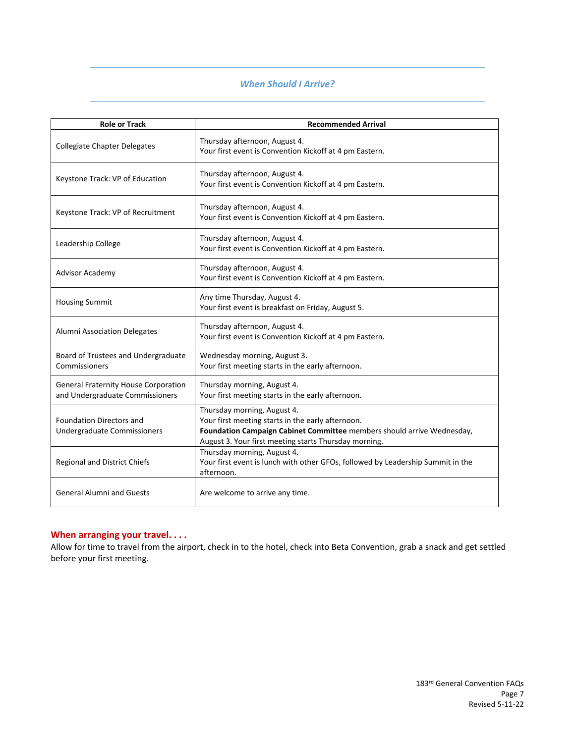# *When Should I Arrive?*

<span id="page-6-0"></span>

| <b>Role or Track</b>                                                           | <b>Recommended Arrival</b>                                                                                                                                                                                          |
|--------------------------------------------------------------------------------|---------------------------------------------------------------------------------------------------------------------------------------------------------------------------------------------------------------------|
| <b>Collegiate Chapter Delegates</b>                                            | Thursday afternoon, August 4.<br>Your first event is Convention Kickoff at 4 pm Eastern.                                                                                                                            |
| Keystone Track: VP of Education                                                | Thursday afternoon, August 4.<br>Your first event is Convention Kickoff at 4 pm Eastern.                                                                                                                            |
| Keystone Track: VP of Recruitment                                              | Thursday afternoon, August 4.<br>Your first event is Convention Kickoff at 4 pm Eastern.                                                                                                                            |
| Leadership College                                                             | Thursday afternoon, August 4.<br>Your first event is Convention Kickoff at 4 pm Eastern.                                                                                                                            |
| <b>Advisor Academy</b>                                                         | Thursday afternoon, August 4.<br>Your first event is Convention Kickoff at 4 pm Eastern.                                                                                                                            |
| <b>Housing Summit</b>                                                          | Any time Thursday, August 4.<br>Your first event is breakfast on Friday, August 5.                                                                                                                                  |
| Alumni Association Delegates                                                   | Thursday afternoon, August 4.<br>Your first event is Convention Kickoff at 4 pm Eastern.                                                                                                                            |
| Board of Trustees and Undergraduate<br>Commissioners                           | Wednesday morning, August 3.<br>Your first meeting starts in the early afternoon.                                                                                                                                   |
| <b>General Fraternity House Corporation</b><br>and Undergraduate Commissioners | Thursday morning, August 4.<br>Your first meeting starts in the early afternoon.                                                                                                                                    |
| <b>Foundation Directors and</b><br>Undergraduate Commissioners                 | Thursday morning, August 4.<br>Your first meeting starts in the early afternoon.<br>Foundation Campaign Cabinet Committee members should arrive Wednesday,<br>August 3. Your first meeting starts Thursday morning. |
| Regional and District Chiefs                                                   | Thursday morning, August 4.<br>Your first event is lunch with other GFOs, followed by Leadership Summit in the<br>afternoon.                                                                                        |
| <b>General Alumni and Guests</b>                                               | Are welcome to arrive any time.                                                                                                                                                                                     |

# **When arranging your travel. . . .**

Allow for time to travel from the airport, check in to the hotel, check into Beta Convention, grab a snack and get settled before your first meeting.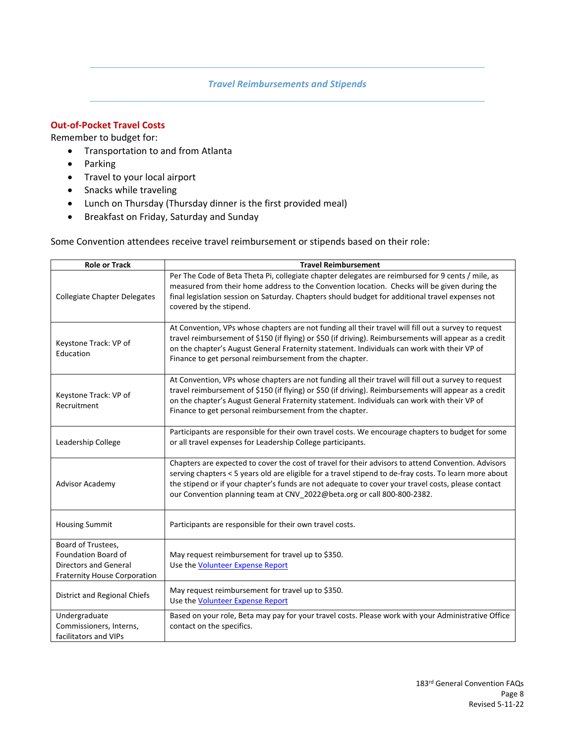# *Travel Reimbursements and Stipends*

# <span id="page-7-0"></span>**Out-of-Pocket Travel Costs**

Remember to budget for:

- Transportation to and from Atlanta
- Parking
- Travel to your local airport
- Snacks while traveling
- Lunch on Thursday (Thursday dinner is the first provided meal)
- Breakfast on Friday, Saturday and Sunday

Some Convention attendees receive travel reimbursement or stipends based on their role:

| <b>Role or Track</b>                                                                                                    | <b>Travel Reimbursement</b>                                                                                                                                                                                                                                                                                                                                                                    |
|-------------------------------------------------------------------------------------------------------------------------|------------------------------------------------------------------------------------------------------------------------------------------------------------------------------------------------------------------------------------------------------------------------------------------------------------------------------------------------------------------------------------------------|
| <b>Collegiate Chapter Delegates</b>                                                                                     | Per The Code of Beta Theta Pi, collegiate chapter delegates are reimbursed for 9 cents / mile, as<br>measured from their home address to the Convention location. Checks will be given during the<br>final legislation session on Saturday. Chapters should budget for additional travel expenses not<br>covered by the stipend.                                                               |
| Keystone Track: VP of<br>Education                                                                                      | At Convention, VPs whose chapters are not funding all their travel will fill out a survey to request<br>travel reimbursement of \$150 (if flying) or \$50 (if driving). Reimbursements will appear as a credit<br>on the chapter's August General Fraternity statement. Individuals can work with their VP of<br>Finance to get personal reimbursement from the chapter.                       |
| Keystone Track: VP of<br>Recruitment                                                                                    | At Convention, VPs whose chapters are not funding all their travel will fill out a survey to request<br>travel reimbursement of \$150 (if flying) or \$50 (if driving). Reimbursements will appear as a credit<br>on the chapter's August General Fraternity statement. Individuals can work with their VP of<br>Finance to get personal reimbursement from the chapter.                       |
| Leadership College                                                                                                      | Participants are responsible for their own travel costs. We encourage chapters to budget for some<br>or all travel expenses for Leadership College participants.                                                                                                                                                                                                                               |
| <b>Advisor Academy</b>                                                                                                  | Chapters are expected to cover the cost of travel for their advisors to attend Convention. Advisors<br>serving chapters < 5 years old are eligible for a travel stipend to de-fray costs. To learn more about<br>the stipend or if your chapter's funds are not adequate to cover your travel costs, please contact<br>our Convention planning team at CNV 2022@beta.org or call 800-800-2382. |
| <b>Housing Summit</b>                                                                                                   | Participants are responsible for their own travel costs.                                                                                                                                                                                                                                                                                                                                       |
| Board of Trustees,<br><b>Foundation Board of</b><br><b>Directors and General</b><br><b>Fraternity House Corporation</b> | May request reimbursement for travel up to \$350.<br>Use the <b>Volunteer Expense Report</b>                                                                                                                                                                                                                                                                                                   |
| District and Regional Chiefs                                                                                            | May request reimbursement for travel up to \$350.<br>Use the Volunteer Expense Report                                                                                                                                                                                                                                                                                                          |
| Undergraduate<br>Commissioners, Interns,<br>facilitators and VIPs                                                       | Based on your role, Beta may pay for your travel costs. Please work with your Administrative Office<br>contact on the specifics.                                                                                                                                                                                                                                                               |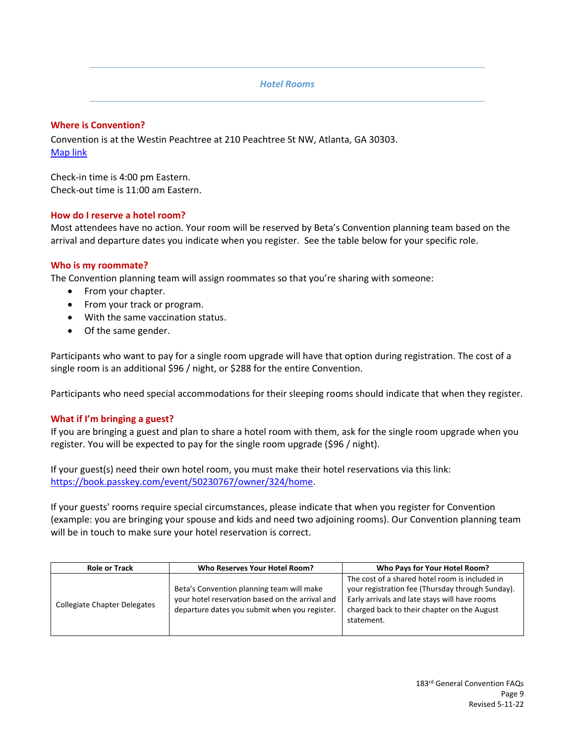### *Hotel Rooms*

### <span id="page-8-0"></span>**Where is Convention?**

Convention is at the Westin Peachtree at 210 Peachtree St NW, Atlanta, GA 30303. [Map link](https://www.google.com/maps/place/The+Westin+Peachtree+Plaza,+Atlanta/@33.7596563,-84.3911357,17z/data=!3m1!4b1!4m8!3m7!1s0x88f50478874ca9f3:0x1d6489204fb26054!5m2!4m1!1i2!8m2!3d33.7596519!4d-84.388947)

Check-in time is 4:00 pm Eastern. Check-out time is 11:00 am Eastern.

### **How do I reserve a hotel room?**

Most attendees have no action. Your room will be reserved by Beta's Convention planning team based on the arrival and departure dates you indicate when you register. See the table below for your specific role.

### **Who is my roommate?**

The Convention planning team will assign roommates so that you're sharing with someone:

- From your chapter.
- From your track or program.
- With the same vaccination status.
- Of the same gender.

Participants who want to pay for a single room upgrade will have that option during registration. The cost of a single room is an additional \$96 / night, or \$288 for the entire Convention.

Participants who need special accommodations for their sleeping rooms should indicate that when they register.

#### **What if I'm bringing a guest?**

If you are bringing a guest and plan to share a hotel room with them, ask for the single room upgrade when you register. You will be expected to pay for the single room upgrade (\$96 / night).

If your guest(s) need their own hotel room, you must make their hotel reservations via this link: [https://book.passkey.com/event/50230767/owner/324/home.](https://book.passkey.com/event/50230767/owner/324/home)

If your guests' rooms require special circumstances, please indicate that when you register for Convention (example: you are bringing your spouse and kids and need two adjoining rooms). Our Convention planning team will be in touch to make sure your hotel reservation is correct.

| <b>Role or Track</b>                | Who Reserves Your Hotel Room?                                                                                                                 | Who Pays for Your Hotel Room?                                                                                                                                                                                    |
|-------------------------------------|-----------------------------------------------------------------------------------------------------------------------------------------------|------------------------------------------------------------------------------------------------------------------------------------------------------------------------------------------------------------------|
| <b>Collegiate Chapter Delegates</b> | Beta's Convention planning team will make<br>your hotel reservation based on the arrival and<br>departure dates you submit when you register. | The cost of a shared hotel room is included in<br>your registration fee (Thursday through Sunday).<br>Early arrivals and late stays will have rooms<br>charged back to their chapter on the August<br>statement. |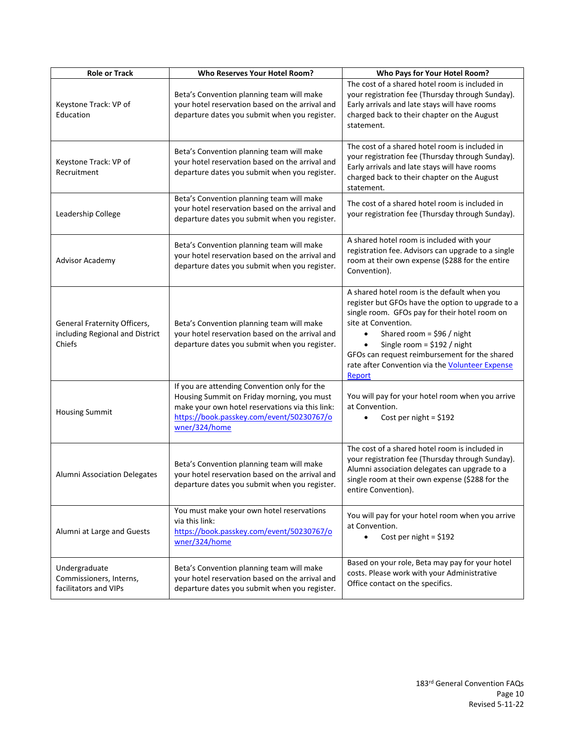| <b>Role or Track</b>                                                      | Who Reserves Your Hotel Room?                                                                                                                                                                               | Who Pays for Your Hotel Room?                                                                                                                                                                                                                                                                                                                                      |
|---------------------------------------------------------------------------|-------------------------------------------------------------------------------------------------------------------------------------------------------------------------------------------------------------|--------------------------------------------------------------------------------------------------------------------------------------------------------------------------------------------------------------------------------------------------------------------------------------------------------------------------------------------------------------------|
| Keystone Track: VP of<br>Education                                        | Beta's Convention planning team will make<br>your hotel reservation based on the arrival and<br>departure dates you submit when you register.                                                               | The cost of a shared hotel room is included in<br>your registration fee (Thursday through Sunday).<br>Early arrivals and late stays will have rooms<br>charged back to their chapter on the August<br>statement.                                                                                                                                                   |
| Keystone Track: VP of<br>Recruitment                                      | Beta's Convention planning team will make<br>your hotel reservation based on the arrival and<br>departure dates you submit when you register.                                                               | The cost of a shared hotel room is included in<br>your registration fee (Thursday through Sunday).<br>Early arrivals and late stays will have rooms<br>charged back to their chapter on the August<br>statement.                                                                                                                                                   |
| Leadership College                                                        | Beta's Convention planning team will make<br>your hotel reservation based on the arrival and<br>departure dates you submit when you register.                                                               | The cost of a shared hotel room is included in<br>your registration fee (Thursday through Sunday).                                                                                                                                                                                                                                                                 |
| Advisor Academy                                                           | Beta's Convention planning team will make<br>your hotel reservation based on the arrival and<br>departure dates you submit when you register.                                                               | A shared hotel room is included with your<br>registration fee. Advisors can upgrade to a single<br>room at their own expense (\$288 for the entire<br>Convention).                                                                                                                                                                                                 |
| General Fraternity Officers,<br>including Regional and District<br>Chiefs | Beta's Convention planning team will make<br>your hotel reservation based on the arrival and<br>departure dates you submit when you register.                                                               | A shared hotel room is the default when you<br>register but GFOs have the option to upgrade to a<br>single room. GFOs pay for their hotel room on<br>site at Convention.<br>Shared room = $$96 / night$<br>$\bullet$<br>Single room = $$192 / night$<br>GFOs can request reimbursement for the shared<br>rate after Convention via the Volunteer Expense<br>Report |
| <b>Housing Summit</b>                                                     | If you are attending Convention only for the<br>Housing Summit on Friday morning, you must<br>make your own hotel reservations via this link:<br>https://book.passkey.com/event/50230767/o<br>wner/324/home | You will pay for your hotel room when you arrive<br>at Convention.<br>Cost per night = $$192$                                                                                                                                                                                                                                                                      |
| Alumni Association Delegates                                              | Beta's Convention planning team will make<br>your hotel reservation based on the arrival and<br>departure dates you submit when you register.                                                               | The cost of a shared hotel room is included in<br>your registration fee (Thursday through Sunday).<br>Alumni association delegates can upgrade to a<br>single room at their own expense (\$288 for the<br>entire Convention).                                                                                                                                      |
| Alumni at Large and Guests                                                | You must make your own hotel reservations<br>via this link:<br>https://book.passkey.com/event/50230767/o<br>wner/324/home                                                                                   | You will pay for your hotel room when you arrive<br>at Convention.<br>Cost per night = $$192$<br>$\bullet$                                                                                                                                                                                                                                                         |
| Undergraduate<br>Commissioners, Interns,<br>facilitators and VIPs         | Beta's Convention planning team will make<br>your hotel reservation based on the arrival and<br>departure dates you submit when you register.                                                               | Based on your role, Beta may pay for your hotel<br>costs. Please work with your Administrative<br>Office contact on the specifics.                                                                                                                                                                                                                                 |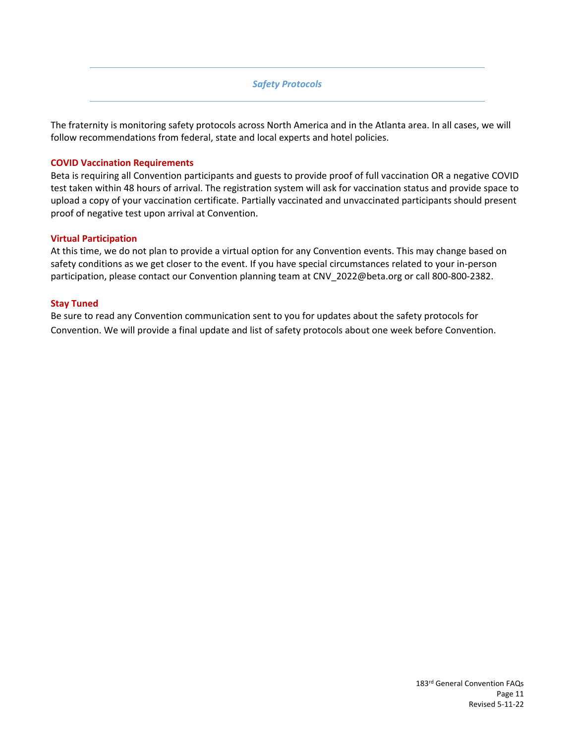# *Safety Protocols*

<span id="page-10-0"></span>The fraternity is monitoring safety protocols across North America and in the Atlanta area. In all cases, we will follow recommendations from federal, state and local experts and hotel policies.

### **COVID Vaccination Requirements**

Beta is requiring all Convention participants and guests to provide proof of full vaccination OR a negative COVID test taken within 48 hours of arrival. The registration system will ask for vaccination status and provide space to upload a copy of your vaccination certificate. Partially vaccinated and unvaccinated participants should present proof of negative test upon arrival at Convention.

#### **Virtual Participation**

At this time, we do not plan to provide a virtual option for any Convention events. This may change based on safety conditions as we get closer to the event. If you have special circumstances related to your in-person participation, please contact our Convention planning team at CNV\_2022@beta.org or call 800-800-2382.

### **Stay Tuned**

Be sure to read any Convention communication sent to you for updates about the safety protocols for Convention. We will provide a final update and list of safety protocols about one week before Convention.